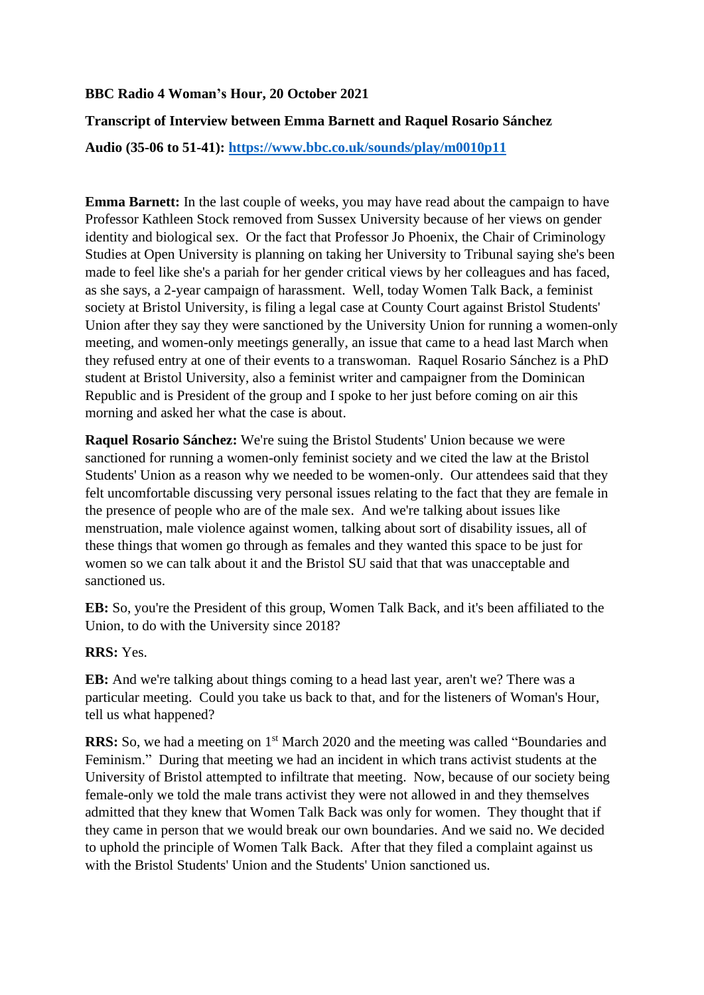# **BBC Radio 4 Woman's Hour, 20 October 2021**

# **Transcript of Interview between Emma Barnett and Raquel Rosario Sánchez**

**Audio (35-06 to 51-41):<https://www.bbc.co.uk/sounds/play/m0010p11>**

**Emma Barnett:** In the last couple of weeks, you may have read about the campaign to have Professor Kathleen Stock removed from Sussex University because of her views on gender identity and biological sex. Or the fact that Professor Jo Phoenix, the Chair of Criminology Studies at Open University is planning on taking her University to Tribunal saying she's been made to feel like she's a pariah for her gender critical views by her colleagues and has faced, as she says, a 2-year campaign of harassment. Well, today Women Talk Back, a feminist society at Bristol University, is filing a legal case at County Court against Bristol Students' Union after they say they were sanctioned by the University Union for running a women-only meeting, and women-only meetings generally, an issue that came to a head last March when they refused entry at one of their events to a transwoman. Raquel Rosario Sánchez is a PhD student at Bristol University, also a feminist writer and campaigner from the Dominican Republic and is President of the group and I spoke to her just before coming on air this morning and asked her what the case is about.

**Raquel Rosario Sánchez:** We're suing the Bristol Students' Union because we were sanctioned for running a women-only feminist society and we cited the law at the Bristol Students' Union as a reason why we needed to be women-only. Our attendees said that they felt uncomfortable discussing very personal issues relating to the fact that they are female in the presence of people who are of the male sex. And we're talking about issues like menstruation, male violence against women, talking about sort of disability issues, all of these things that women go through as females and they wanted this space to be just for women so we can talk about it and the Bristol SU said that that was unacceptable and sanctioned us.

**EB:** So, you're the President of this group, Women Talk Back, and it's been affiliated to the Union, to do with the University since 2018?

**RRS:** Yes.

**EB:** And we're talking about things coming to a head last year, aren't we? There was a particular meeting. Could you take us back to that, and for the listeners of Woman's Hour, tell us what happened?

**RRS:** So, we had a meeting on 1<sup>st</sup> March 2020 and the meeting was called "Boundaries and Feminism." During that meeting we had an incident in which trans activist students at the University of Bristol attempted to infiltrate that meeting. Now, because of our society being female-only we told the male trans activist they were not allowed in and they themselves admitted that they knew that Women Talk Back was only for women. They thought that if they came in person that we would break our own boundaries. And we said no. We decided to uphold the principle of Women Talk Back. After that they filed a complaint against us with the Bristol Students' Union and the Students' Union sanctioned us.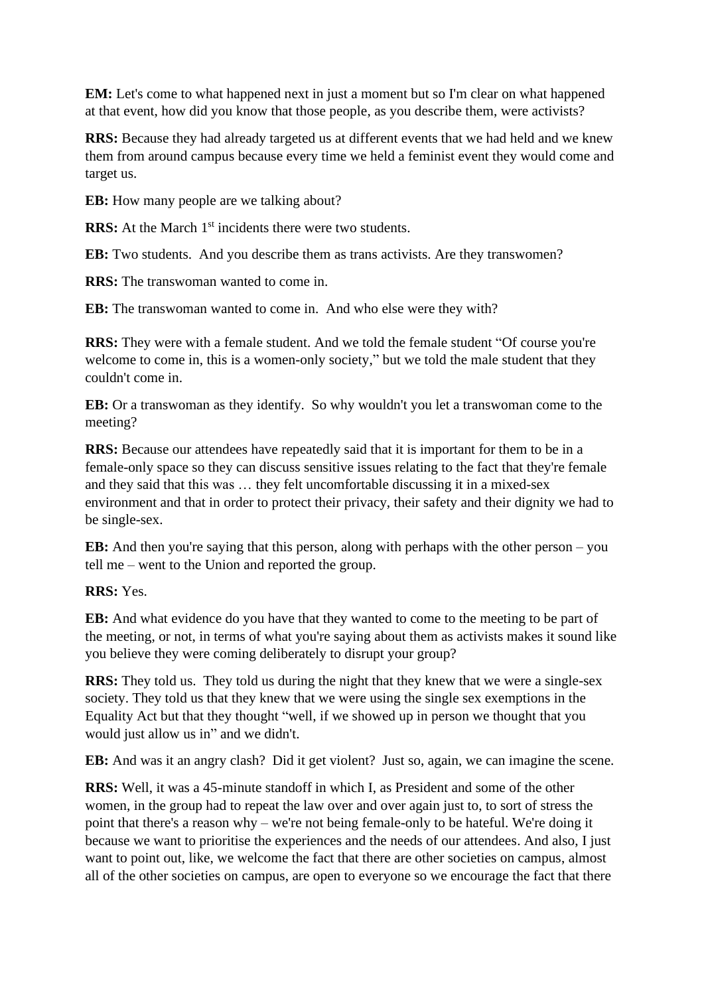**EM:** Let's come to what happened next in just a moment but so I'm clear on what happened at that event, how did you know that those people, as you describe them, were activists?

**RRS:** Because they had already targeted us at different events that we had held and we knew them from around campus because every time we held a feminist event they would come and target us.

**EB:** How many people are we talking about?

**RRS:** At the March 1<sup>st</sup> incidents there were two students.

**EB:** Two students. And you describe them as trans activists. Are they transwomen?

**RRS:** The transwoman wanted to come in.

**EB:** The transwoman wanted to come in. And who else were they with?

**RRS:** They were with a female student. And we told the female student "Of course you're welcome to come in, this is a women-only society," but we told the male student that they couldn't come in.

**EB:** Or a transwoman as they identify. So why wouldn't you let a transwoman come to the meeting?

**RRS:** Because our attendees have repeatedly said that it is important for them to be in a female-only space so they can discuss sensitive issues relating to the fact that they're female and they said that this was … they felt uncomfortable discussing it in a mixed-sex environment and that in order to protect their privacy, their safety and their dignity we had to be single-sex.

**EB:** And then you're saying that this person, along with perhaps with the other person – you tell me – went to the Union and reported the group.

### **RRS:** Yes.

**EB:** And what evidence do you have that they wanted to come to the meeting to be part of the meeting, or not, in terms of what you're saying about them as activists makes it sound like you believe they were coming deliberately to disrupt your group?

**RRS:** They told us. They told us during the night that they knew that we were a single-sex society. They told us that they knew that we were using the single sex exemptions in the Equality Act but that they thought "well, if we showed up in person we thought that you would just allow us in" and we didn't.

**EB:** And was it an angry clash? Did it get violent? Just so, again, we can imagine the scene.

**RRS:** Well, it was a 45-minute standoff in which I, as President and some of the other women, in the group had to repeat the law over and over again just to, to sort of stress the point that there's a reason why – we're not being female-only to be hateful. We're doing it because we want to prioritise the experiences and the needs of our attendees. And also, I just want to point out, like, we welcome the fact that there are other societies on campus, almost all of the other societies on campus, are open to everyone so we encourage the fact that there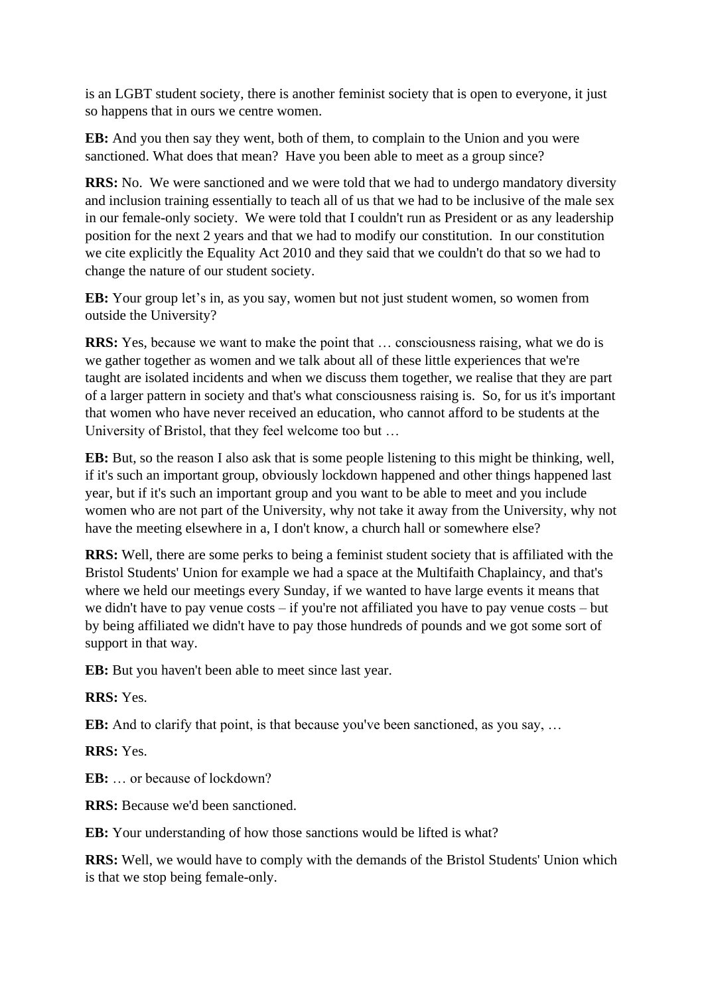is an LGBT student society, there is another feminist society that is open to everyone, it just so happens that in ours we centre women.

**EB:** And you then say they went, both of them, to complain to the Union and you were sanctioned. What does that mean? Have you been able to meet as a group since?

**RRS:** No. We were sanctioned and we were told that we had to undergo mandatory diversity and inclusion training essentially to teach all of us that we had to be inclusive of the male sex in our female-only society. We were told that I couldn't run as President or as any leadership position for the next 2 years and that we had to modify our constitution. In our constitution we cite explicitly the Equality Act 2010 and they said that we couldn't do that so we had to change the nature of our student society.

**EB:** Your group let's in, as you say, women but not just student women, so women from outside the University?

**RRS:** Yes, because we want to make the point that … consciousness raising, what we do is we gather together as women and we talk about all of these little experiences that we're taught are isolated incidents and when we discuss them together, we realise that they are part of a larger pattern in society and that's what consciousness raising is. So, for us it's important that women who have never received an education, who cannot afford to be students at the University of Bristol, that they feel welcome too but …

**EB:** But, so the reason I also ask that is some people listening to this might be thinking, well, if it's such an important group, obviously lockdown happened and other things happened last year, but if it's such an important group and you want to be able to meet and you include women who are not part of the University, why not take it away from the University, why not have the meeting elsewhere in a, I don't know, a church hall or somewhere else?

**RRS:** Well, there are some perks to being a feminist student society that is affiliated with the Bristol Students' Union for example we had a space at the Multifaith Chaplaincy, and that's where we held our meetings every Sunday, if we wanted to have large events it means that we didn't have to pay venue costs – if you're not affiliated you have to pay venue costs – but by being affiliated we didn't have to pay those hundreds of pounds and we got some sort of support in that way.

**EB:** But you haven't been able to meet since last year.

**RRS:** Yes.

**EB:** And to clarify that point, is that because you've been sanctioned, as you say, ...

**RRS:** Yes.

**EB:** … or because of lockdown?

**RRS:** Because we'd been sanctioned.

**EB:** Your understanding of how those sanctions would be lifted is what?

**RRS:** Well, we would have to comply with the demands of the Bristol Students' Union which is that we stop being female-only.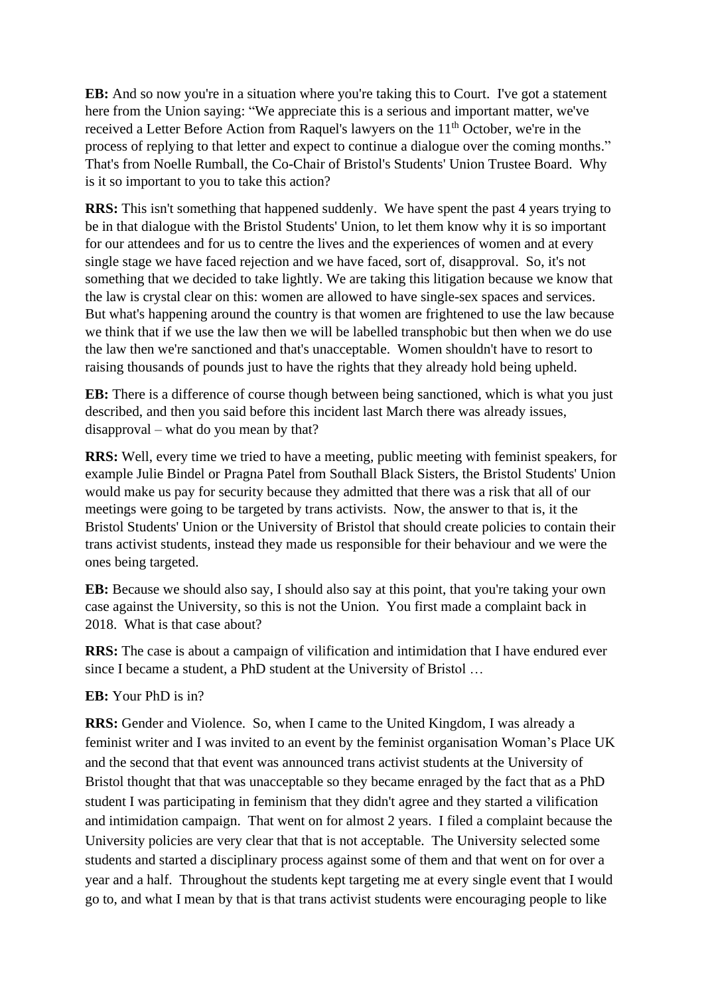**EB:** And so now you're in a situation where you're taking this to Court. I've got a statement here from the Union saying: "We appreciate this is a serious and important matter, we've received a Letter Before Action from Raquel's lawyers on the 11<sup>th</sup> October, we're in the process of replying to that letter and expect to continue a dialogue over the coming months." That's from Noelle Rumball, the Co-Chair of Bristol's Students' Union Trustee Board. Why is it so important to you to take this action?

**RRS:** This isn't something that happened suddenly. We have spent the past 4 years trying to be in that dialogue with the Bristol Students' Union, to let them know why it is so important for our attendees and for us to centre the lives and the experiences of women and at every single stage we have faced rejection and we have faced, sort of, disapproval. So, it's not something that we decided to take lightly. We are taking this litigation because we know that the law is crystal clear on this: women are allowed to have single-sex spaces and services. But what's happening around the country is that women are frightened to use the law because we think that if we use the law then we will be labelled transphobic but then when we do use the law then we're sanctioned and that's unacceptable. Women shouldn't have to resort to raising thousands of pounds just to have the rights that they already hold being upheld.

**EB:** There is a difference of course though between being sanctioned, which is what you just described, and then you said before this incident last March there was already issues, disapproval – what do you mean by that?

**RRS:** Well, every time we tried to have a meeting, public meeting with feminist speakers, for example Julie Bindel or Pragna Patel from Southall Black Sisters, the Bristol Students' Union would make us pay for security because they admitted that there was a risk that all of our meetings were going to be targeted by trans activists. Now, the answer to that is, it the Bristol Students' Union or the University of Bristol that should create policies to contain their trans activist students, instead they made us responsible for their behaviour and we were the ones being targeted.

**EB:** Because we should also say, I should also say at this point, that you're taking your own case against the University, so this is not the Union. You first made a complaint back in 2018. What is that case about?

**RRS:** The case is about a campaign of vilification and intimidation that I have endured ever since I became a student, a PhD student at the University of Bristol …

# **EB:** Your PhD is in?

**RRS:** Gender and Violence. So, when I came to the United Kingdom, I was already a feminist writer and I was invited to an event by the feminist organisation Woman's Place UK and the second that that event was announced trans activist students at the University of Bristol thought that that was unacceptable so they became enraged by the fact that as a PhD student I was participating in feminism that they didn't agree and they started a vilification and intimidation campaign. That went on for almost 2 years. I filed a complaint because the University policies are very clear that that is not acceptable. The University selected some students and started a disciplinary process against some of them and that went on for over a year and a half. Throughout the students kept targeting me at every single event that I would go to, and what I mean by that is that trans activist students were encouraging people to like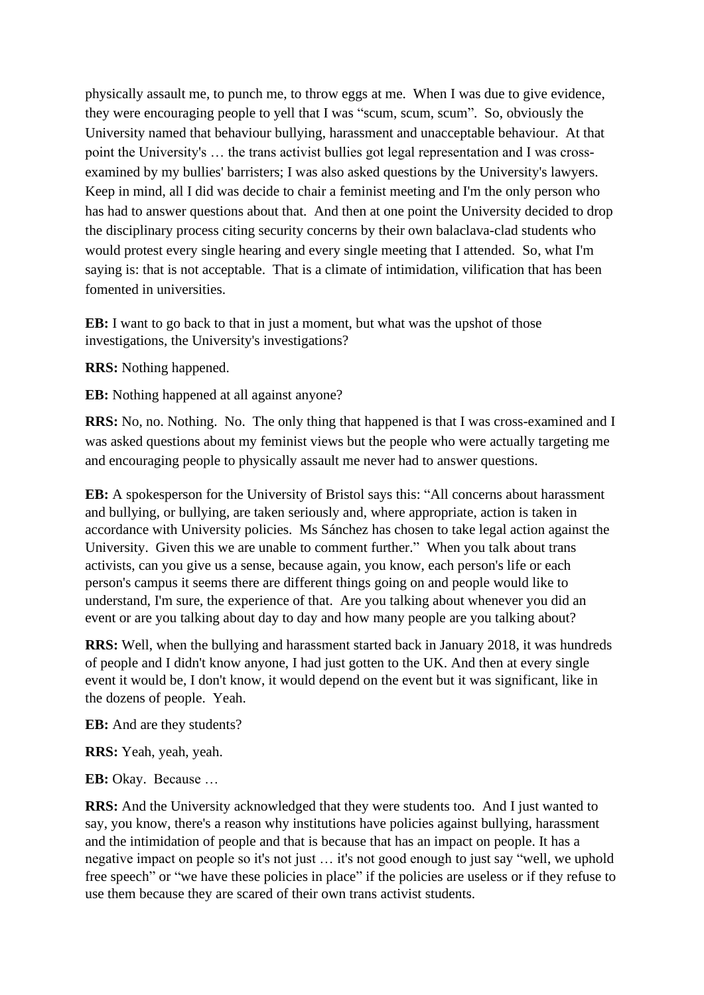physically assault me, to punch me, to throw eggs at me. When I was due to give evidence, they were encouraging people to yell that I was "scum, scum, scum". So, obviously the University named that behaviour bullying, harassment and unacceptable behaviour. At that point the University's … the trans activist bullies got legal representation and I was crossexamined by my bullies' barristers; I was also asked questions by the University's lawyers. Keep in mind, all I did was decide to chair a feminist meeting and I'm the only person who has had to answer questions about that. And then at one point the University decided to drop the disciplinary process citing security concerns by their own balaclava-clad students who would protest every single hearing and every single meeting that I attended. So, what I'm saying is: that is not acceptable. That is a climate of intimidation, vilification that has been fomented in universities.

**EB:** I want to go back to that in just a moment, but what was the upshot of those investigations, the University's investigations?

**RRS:** Nothing happened.

**EB:** Nothing happened at all against anyone?

**RRS:** No, no. Nothing. No. The only thing that happened is that I was cross-examined and I was asked questions about my feminist views but the people who were actually targeting me and encouraging people to physically assault me never had to answer questions.

**EB:** A spokesperson for the University of Bristol says this: "All concerns about harassment and bullying, or bullying, are taken seriously and, where appropriate, action is taken in accordance with University policies. Ms Sánchez has chosen to take legal action against the University. Given this we are unable to comment further." When you talk about trans activists, can you give us a sense, because again, you know, each person's life or each person's campus it seems there are different things going on and people would like to understand, I'm sure, the experience of that. Are you talking about whenever you did an event or are you talking about day to day and how many people are you talking about?

**RRS:** Well, when the bullying and harassment started back in January 2018, it was hundreds of people and I didn't know anyone, I had just gotten to the UK. And then at every single event it would be, I don't know, it would depend on the event but it was significant, like in the dozens of people. Yeah.

**EB:** And are they students?

**RRS:** Yeah, yeah, yeah.

**EB:** Okay. Because …

**RRS:** And the University acknowledged that they were students too. And I just wanted to say, you know, there's a reason why institutions have policies against bullying, harassment and the intimidation of people and that is because that has an impact on people. It has a negative impact on people so it's not just … it's not good enough to just say "well, we uphold free speech" or "we have these policies in place" if the policies are useless or if they refuse to use them because they are scared of their own trans activist students.